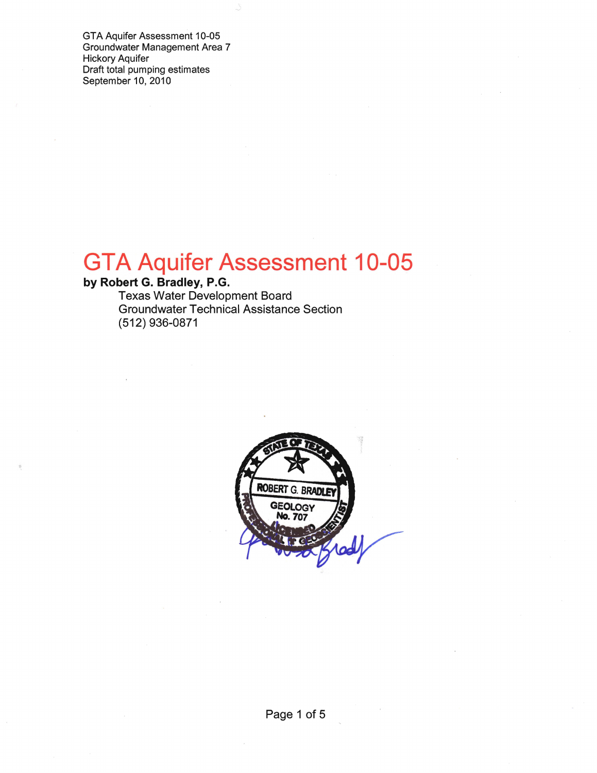GTA Aquifer Assessment 10-05 Groundwater Management Area 7 Hickory Aquifer Draft total pumping estimates September 10, 2010

# **GTA Aquifer Assessment 10-05**

# **by Robert G. Bradley, P.G.**

Texas Water Development Board Groundwater Technical Assistance Section (512) 936-0871

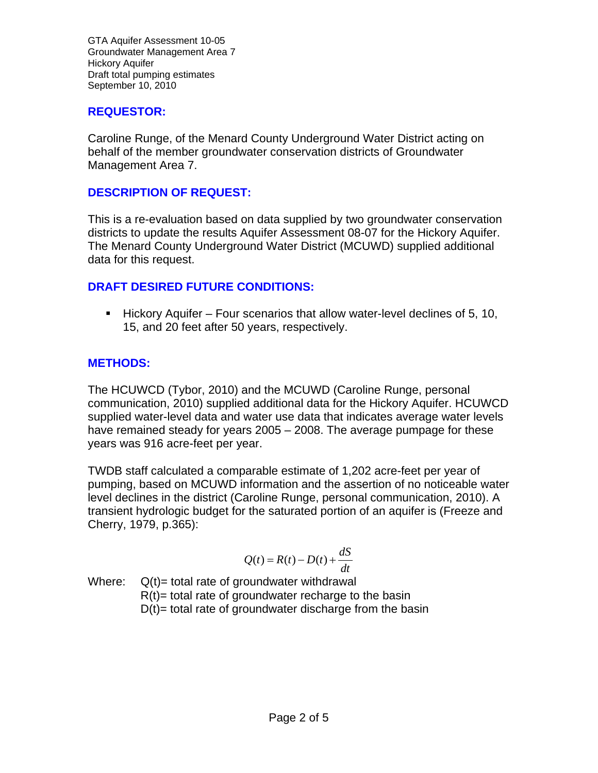GTA Aquifer Assessment 10-05 Groundwater Management Area 7 Hickory Aquifer Draft total pumping estimates September 10, 2010

#### **REQUESTOR:**

Caroline Runge, of the Menard County Underground Water District acting on behalf of the member groundwater conservation districts of Groundwater Management Area 7.

#### **DESCRIPTION OF REQUEST:**

This is a re-evaluation based on data supplied by two groundwater conservation districts to update the results Aquifer Assessment 08-07 for the Hickory Aquifer. The Menard County Underground Water District (MCUWD) supplied additional data for this request.

## **DRAFT DESIRED FUTURE CONDITIONS:**

 $\blacksquare$  Hickory Aquifer – Four scenarios that allow water-level declines of 5, 10, 15, and 20 feet after 50 years, respectively.

## **METHODS:**

The HCUWCD (Tybor, 2010) and the MCUWD (Caroline Runge, personal communication, 2010) supplied additional data for the Hickory Aquifer. HCUWCD supplied water-level data and water use data that indicates average water levels have remained steady for years 2005 – 2008. The average pumpage for these years was 916 acre-feet per year.

TWDB staff calculated a comparable estimate of 1,202 acre-feet per year of pumping, based on MCUWD information and the assertion of no noticeable water level declines in the district (Caroline Runge, personal communication, 2010). A transient hydrologic budget for the saturated portion of an aquifer is (Freeze and Cherry, 1979, p.365):

$$
Q(t) = R(t) - D(t) + \frac{dS}{dt}
$$

Where:  $Q(t)$  = total rate of groundwater withdrawal

 $R(t)$ = total rate of groundwater recharge to the basin

 $D(t)$ = total rate of groundwater discharge from the basin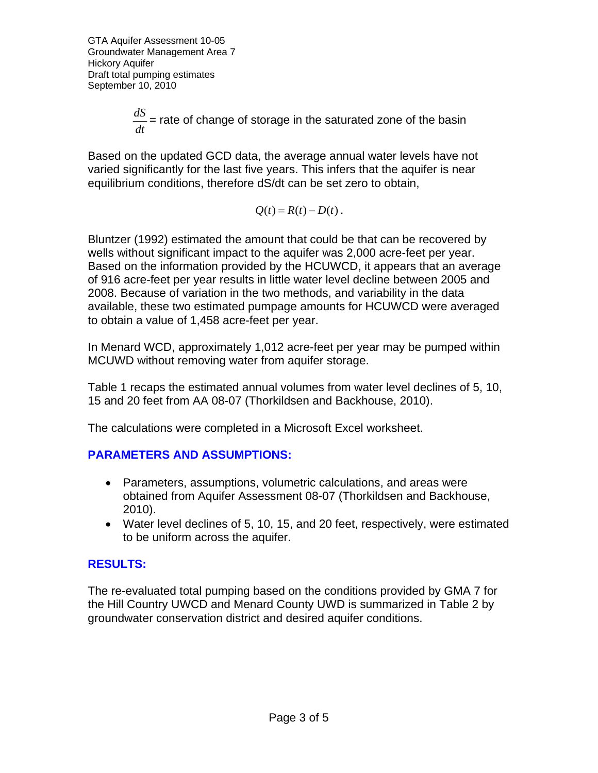GTA Aquifer Assessment 10-05 Groundwater Management Area 7 Hickory Aquifer Draft total pumping estimates September 10, 2010

> *dt*  $\frac{dS}{ds}$  = rate of change of storage in the saturated zone of the basin

Based on the updated GCD data, the average annual water levels have not varied significantly for the last five years. This infers that the aquifer is near equilibrium conditions, therefore dS/dt can be set zero to obtain,

$$
Q(t) = R(t) - D(t).
$$

Bluntzer (1992) estimated the amount that could be that can be recovered by wells without significant impact to the aquifer was 2,000 acre-feet per year. Based on the information provided by the HCUWCD, it appears that an average of 916 acre-feet per year results in little water level decline between 2005 and 2008. Because of variation in the two methods, and variability in the data available, these two estimated pumpage amounts for HCUWCD were averaged to obtain a value of 1,458 acre-feet per year.

In Menard WCD, approximately 1,012 acre-feet per year may be pumped within MCUWD without removing water from aquifer storage.

Table 1 recaps the estimated annual volumes from water level declines of 5, 10, 15 and 20 feet from AA 08-07 (Thorkildsen and Backhouse, 2010).

The calculations were completed in a Microsoft Excel worksheet.

#### **PARAMETERS AND ASSUMPTIONS:**

- Parameters, assumptions, volumetric calculations, and areas were obtained from Aquifer Assessment 08-07 (Thorkildsen and Backhouse, 2010).
- Water level declines of 5, 10, 15, and 20 feet, respectively, were estimated to be uniform across the aquifer.

#### **RESULTS:**

The re-evaluated total pumping based on the conditions provided by GMA 7 for the Hill Country UWCD and Menard County UWD is summarized in Table 2 by groundwater conservation district and desired aquifer conditions.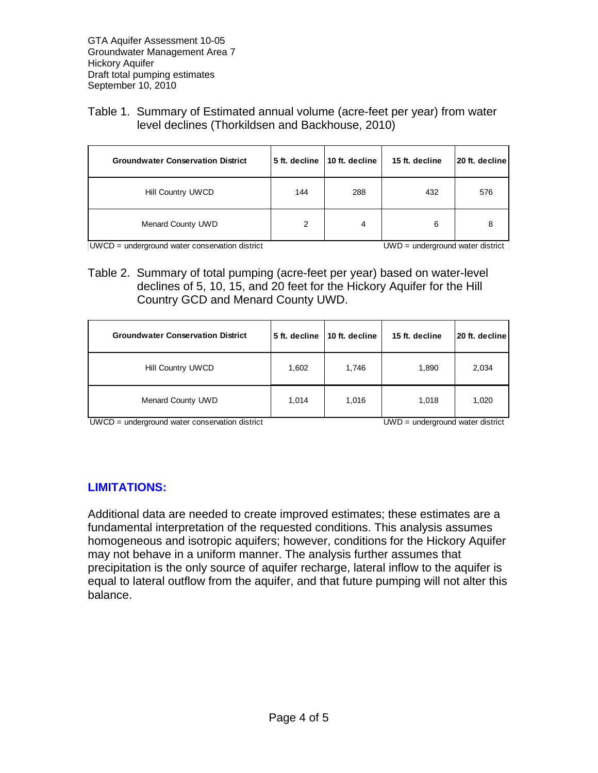#### Table 1. Summary of Estimated annual volume (acre-feet per year) from water level declines (Thorkildsen and Backhouse, 2010)

| <b>Groundwater Conservation District</b> |     | 5 ft. decline   10 ft. decline | 15 ft. decline | 20 ft. decline |
|------------------------------------------|-----|--------------------------------|----------------|----------------|
| Hill Country UWCD                        | 144 | 288                            | 432            | 576            |
| <b>Menard County UWD</b>                 |     | 4                              | 6              |                |

UWCD = underground water conservation district UWD = underground water district

Table 2. Summary of total pumping (acre-feet per year) based on water-level declines of 5, 10, 15, and 20 feet for the Hickory Aquifer for the Hill Country GCD and Menard County UWD.

| <b>Groundwater Conservation District</b> | 5 ft. decline | 10 ft. decline | 15 ft. decline | 20 ft. decline |
|------------------------------------------|---------------|----------------|----------------|----------------|
| Hill Country UWCD                        | 1,602         | 1,746          | 1,890          | 2,034          |
| <b>Menard County UWD</b>                 | 1,014         | 1,016          | 1,018          | 1,020          |

UWCD = underground water conservation district UWD = underground water district

#### **LIMITATIONS:**

Additional data are needed to create improved estimates; these estimates are a fundamental interpretation of the requested conditions. This analysis assumes homogeneous and isotropic aquifers; however, conditions for the Hickory Aquifer may not behave in a uniform manner. The analysis further assumes that precipitation is the only source of aquifer recharge, lateral inflow to the aquifer is equal to lateral outflow from the aquifer, and that future pumping will not alter this balance.